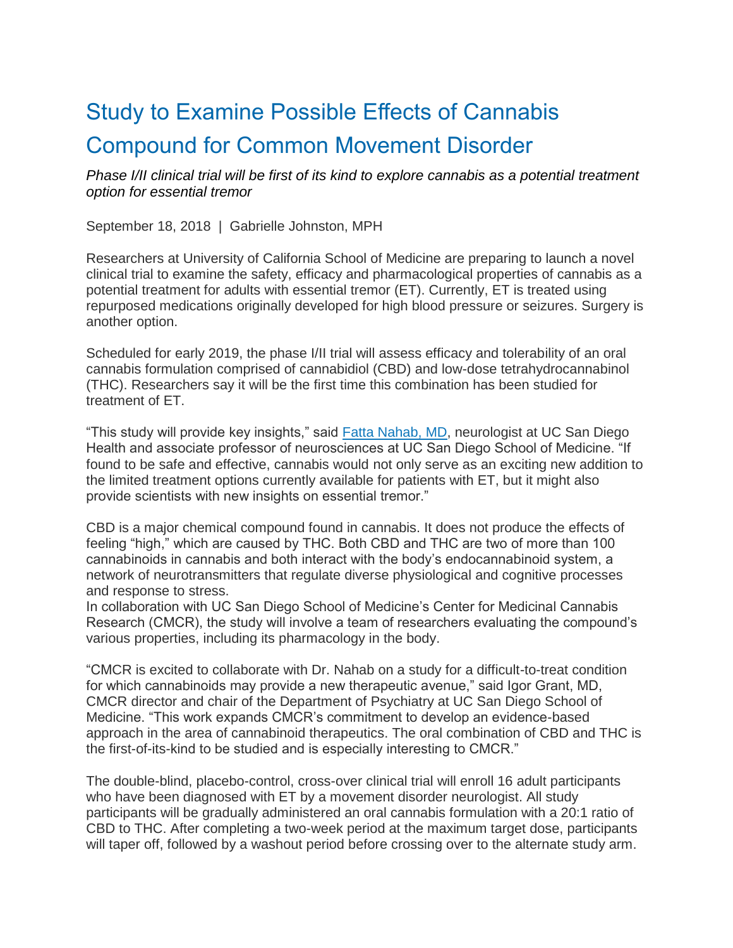## Study to Examine Possible Effects of Cannabis Compound for Common Movement Disorder

*Phase I/II clinical trial will be first of its kind to explore cannabis as a potential treatment option for essential tremor*

September 18, 2018 | Gabrielle Johnston, MPH

Researchers at University of California School of Medicine are preparing to launch a novel clinical trial to examine the safety, efficacy and pharmacological properties of cannabis as a potential treatment for adults with essential tremor (ET). Currently, ET is treated using repurposed medications originally developed for high blood pressure or seizures. Surgery is another option.

Scheduled for early 2019, the phase I/II trial will assess efficacy and tolerability of an oral cannabis formulation comprised of cannabidiol (CBD) and low-dose tetrahydrocannabinol (THC). Researchers say it will be the first time this combination has been studied for treatment of ET.

"This study will provide key insights," said [Fatta Nahab, MD,](https://providers.ucsd.edu/details/22352/fatta-nahab) neurologist at UC San Diego Health and associate professor of neurosciences at UC San Diego School of Medicine. "If found to be safe and effective, cannabis would not only serve as an exciting new addition to the limited treatment options currently available for patients with ET, but it might also provide scientists with new insights on essential tremor."

CBD is a major chemical compound found in cannabis. It does not produce the effects of feeling "high," which are caused by THC. Both CBD and THC are two of more than 100 cannabinoids in cannabis and both interact with the body's endocannabinoid system, a network of neurotransmitters that regulate diverse physiological and cognitive processes and response to stress.

In collaboration with UC San Diego School of Medicine's Center for Medicinal Cannabis Research (CMCR), the study will involve a team of researchers evaluating the compound's various properties, including its pharmacology in the body.

"CMCR is excited to collaborate with Dr. Nahab on a study for a difficult-to-treat condition for which cannabinoids may provide a new therapeutic avenue," said Igor Grant, MD, CMCR director and chair of the Department of Psychiatry at UC San Diego School of Medicine. "This work expands CMCR's commitment to develop an evidence-based approach in the area of cannabinoid therapeutics. The oral combination of CBD and THC is the first-of-its-kind to be studied and is especially interesting to CMCR."

The double-blind, placebo-control, cross-over clinical trial will enroll 16 adult participants who have been diagnosed with ET by a movement disorder neurologist. All study participants will be gradually administered an oral cannabis formulation with a 20:1 ratio of CBD to THC. After completing a two-week period at the maximum target dose, participants will taper off, followed by a washout period before crossing over to the alternate study arm.